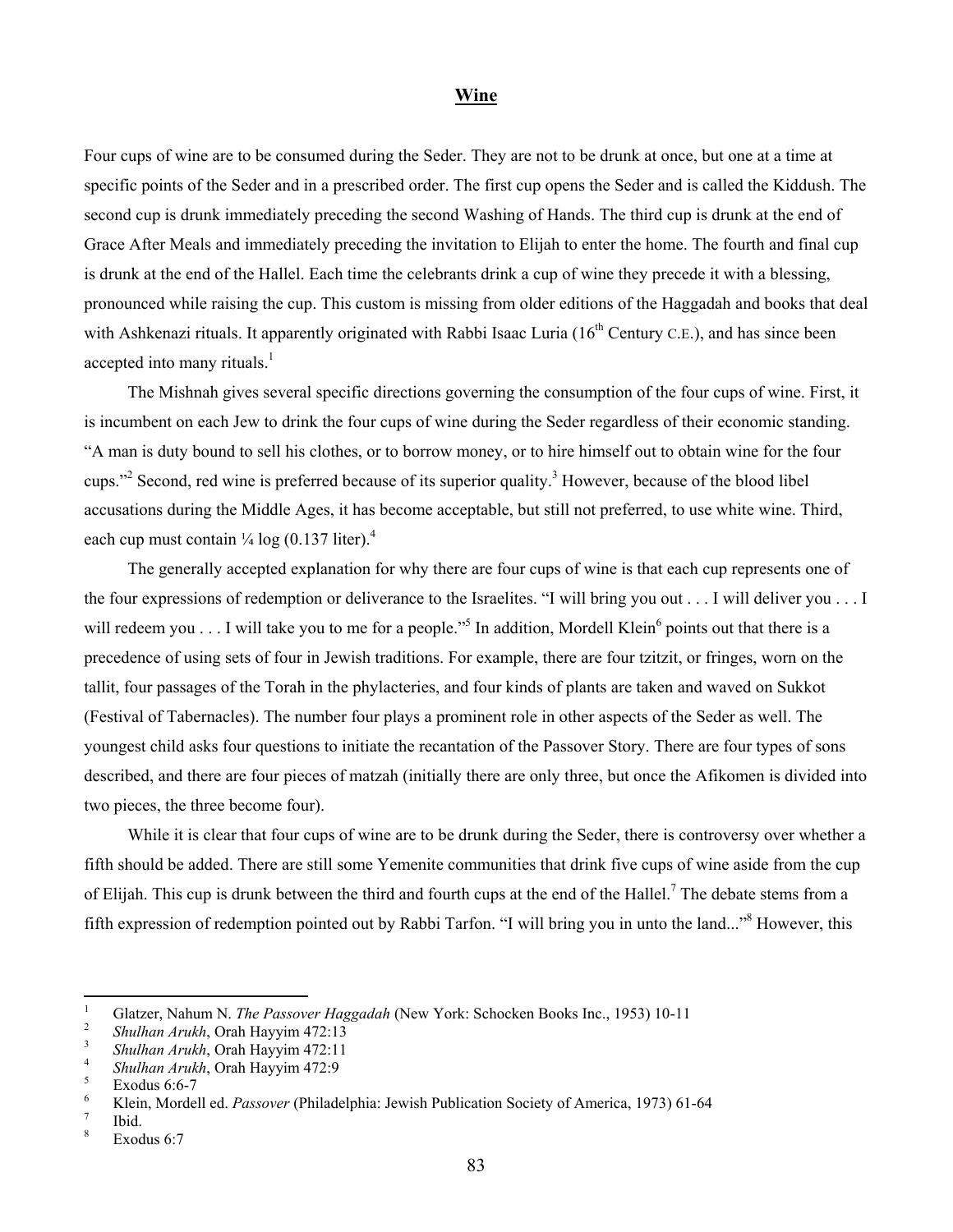## **Wine**

Four cups of wine are to be consumed during the Seder. They are not to be drunk at once, but one at a time at specific points of the Seder and in a prescribed order. The first cup opens the Seder and is called the Kiddush. The second cup is drunk immediately preceding the second Washing of Hands. The third cup is drunk at the end of Grace After Meals and immediately preceding the invitation to Elijah to enter the home. The fourth and final cup is drunk at the end of the Hallel. Each time the celebrants drink a cup of wine they precede it with a blessing, pronounced while raising the cup. This custom is missing from older editions of the Haggadah and books that deal with Ashkenazi rituals. It apparently originated with Rabbi Isaac Luria  $(16<sup>th</sup>$  Century C.E.), and has since been accepted into many rituals.<sup>[1](#page-0-0)</sup>

The Mishnah gives several specific directions governing the consumption of the four cups of wine. First, it is incumbent on each Jew to drink the four cups of wine during the Seder regardless of their economic standing. "A man is duty bound to sell his clothes, or to borrow money, or to hire himself out to obtain wine for the four cups."<sup>[2](#page-0-1)</sup> Second, red wine is preferred because of its superior quality.<sup>[3](#page-0-2)</sup> However, because of the blood libel accusations during the Middle Ages, it has become acceptable, but still not preferred, to use white wine. Third, each cup must contain  $\frac{1}{4}$  log (0.137 liter).<sup>4</sup>

The generally accepted explanation for why there are four cups of wine is that each cup represents one of the four expressions of redemption or deliverance to the Israelites. "I will bring you out . . . I will deliver you . . . I will redeem you  $\dots$  I will take you to me for a people."<sup>5</sup> In addition, Mordell Klein<sup>[6](#page-0-5)</sup> points out that there is a precedence of using sets of four in Jewish traditions. For example, there are four tzitzit, or fringes, worn on the tallit, four passages of the Torah in the phylacteries, and four kinds of plants are taken and waved on Sukkot (Festival of Tabernacles). The number four plays a prominent role in other aspects of the Seder as well. The youngest child asks four questions to initiate the recantation of the Passover Story. There are four types of sons described, and there are four pieces of matzah (initially there are only three, but once the Afikomen is divided into two pieces, the three become four).

While it is clear that four cups of wine are to be drunk during the Seder, there is controversy over whether a fifth should be added. There are still some Yemenite communities that drink five cups of wine aside from the cup of Elijah. This cup is drunk between the third and fourth cups at the end of the Hallel.<sup>7</sup> The debate stems from a fifth expression of redemption pointed out by Rabbi Tarfon. "I will bring you in unto the land..."<sup>8</sup> However, this

<span id="page-0-0"></span> $\frac{1}{1}$ <sup>1</sup> Glatzer, Nahum N. *The Passover Haggadah* (New York: Schocken Books Inc., 1953) 10-11

<span id="page-0-1"></span><sup>&</sup>lt;sup>2</sup> *Shulhan Arukh*, Orah Hayyim 472:13

<span id="page-0-2"></span>*Shulhan Arukh*, Orah Hayyim 472:11 4

<span id="page-0-3"></span><sup>&</sup>lt;sup>4</sup> *Shulhan Arukh*, Orah Hayyim 472:9

<span id="page-0-4"></span> $\frac{5}{6}$  Exodus 6:6-7

<span id="page-0-5"></span>Klein, Mordell ed. *Passover* (Philadelphia: Jewish Publication Society of America, 1973) 61-64 7

<span id="page-0-6"></span> $\frac{7}{8}$  Ibid.

<span id="page-0-7"></span>Exodus 6:7